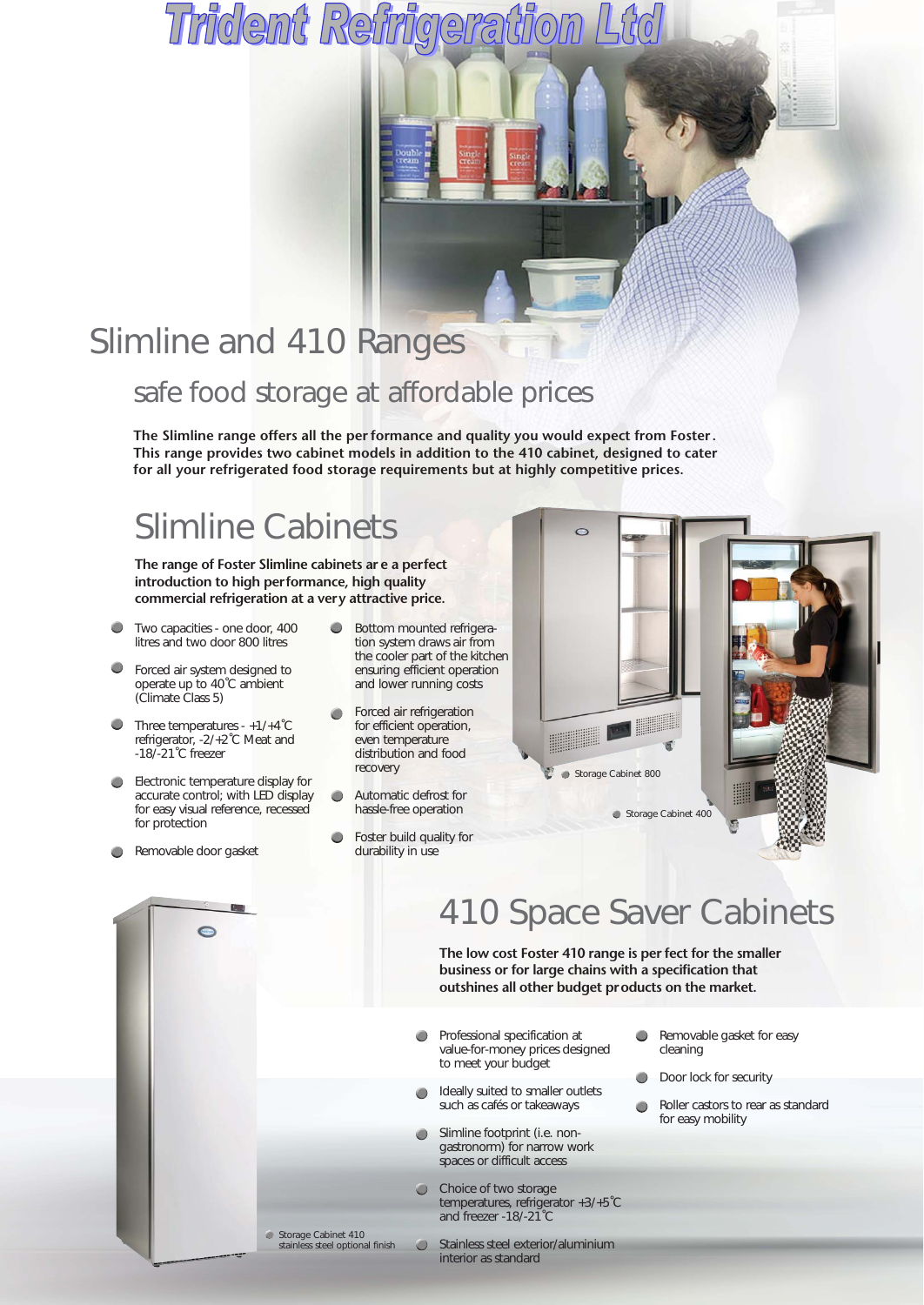### Slimline and 410 Ranges

#### safe food storage at affordable prices

**The Slimline range offers all the per formance and quality you would expect from Foster. This range provides two cabinet models in addition to the 410 cabinet, designed to cater for all your refrigerated food storage requirements but at highly competitive prices.**

## Slimline Cabinets

**The range of Foster Slimline cabinets ar e a perfect introduction to high performance, high quality commercial refrigeration at a very attractive price.**

- Two capacities one door, 400  $\bigcirc$ litres and two door 800 litres
- **•** Forced air system designed to operate up to 40˚C ambient (Climate Class 5)
- $\Box$  Three temperatures +1/+4 $^{\circ}$ C refrigerator, -2/+2˚C Meat and -18/-21˚C freezer
- Electronic temperature display for **Contract Contract Contract** accurate control; with LED display for easy visual reference, recessed for protection
- Removable door gasket ۸
- Bottom mounted refrigeration system draws air from the cooler part of the kitchen ensuring efficient operation and lower running costs
- Forced air refrigeration for efficient operation, even temperature distribution and food recovery
- Automatic defrost for  $\bullet$ hassle-free operation
- **C** Foster build quality for durability in use

 $\bullet$ 





### 410 Space Saver Cabinets

**The low cost Foster 410 range is per fect for the smaller business or for large chains with a specification that outshines all other budget products on the market.**

- Professional specification at  $\bullet$ value-for-money prices designed to meet your budget
- Ideally suited to smaller outlets ۸ such as cafés or takeaways
- Slimline footprint (i.e. nongastronorm) for narrow work spaces or difficult access
- Choice of two storage temperatures, refrigerator +3/+5˚C and freezer -18/-21˚C
	- Stainless steel exterior/aluminium interior as standard
- $\bullet$ Removable gasket for easy cleaning
- Door lock for security  $\bullet$
- Roller castors to rear as standard for easy mobility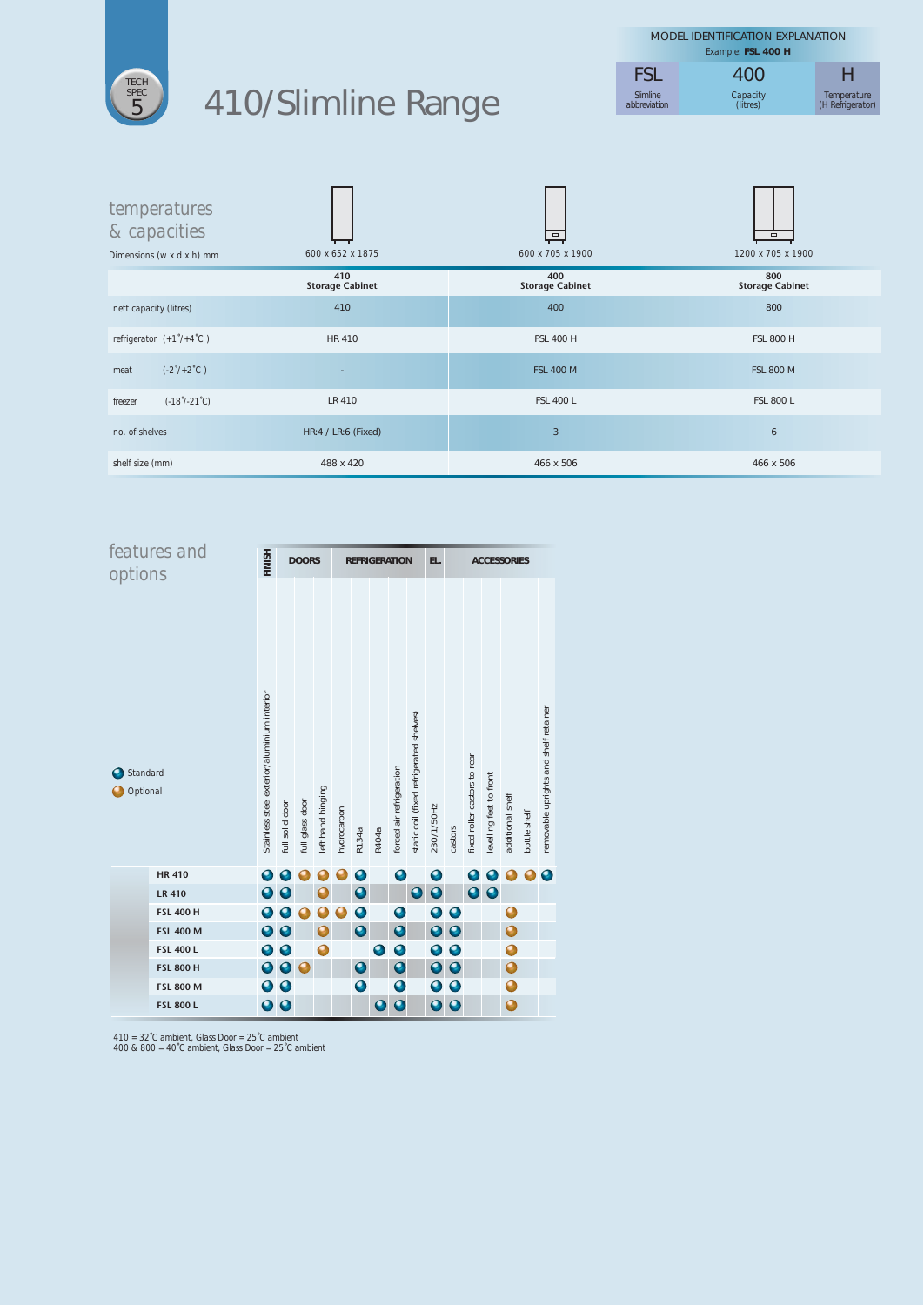

# 410/Slimline Range

| <b>MODEL IDENTIFICATION EXPLANATION</b><br>Example: FSL 400 H |                      |                                 |  |  |  |  |
|---------------------------------------------------------------|----------------------|---------------------------------|--|--|--|--|
| FSL                                                           | 400                  | н                               |  |  |  |  |
| Slimline<br>abbreviation                                      | Capacity<br>(litres) | Temperature<br>(H Refrigerator) |  |  |  |  |

| temperatures<br>& capacities<br>600 x 652 x 1875<br>Dimensions ( $w \times d \times h$ ) mm |                               | $\Box$<br>600 x 705 x 1900    | $\qquad \qquad \Box$<br>1200 x 705 x 1900 |  |  |  |  |
|---------------------------------------------------------------------------------------------|-------------------------------|-------------------------------|-------------------------------------------|--|--|--|--|
|                                                                                             | 410<br><b>Storage Cabinet</b> | 400<br><b>Storage Cabinet</b> | 800<br><b>Storage Cabinet</b>             |  |  |  |  |
| nett capacity (litres)                                                                      | 410                           | 400                           | 800                                       |  |  |  |  |
| refrigerator $(+1^{\degree}/+4^{\degree}C)$                                                 | <b>HR410</b>                  | <b>FSL 400 H</b>              | <b>FSL 800 H</b>                          |  |  |  |  |
| $(-2^{\prime}/+2^{\prime}C)$<br>meat                                                        |                               | <b>FSL 400 M</b>              | <b>FSL 800 M</b>                          |  |  |  |  |
| $(-18^{\circ}/-21^{\circ}C)$<br>freezer                                                     | LR 410                        | <b>FSL 400 L</b>              | <b>FSL 800 L</b>                          |  |  |  |  |
| no. of shelves                                                                              | HR:4 / LR:6 (Fixed)           | $\overline{3}$                | 6                                         |  |  |  |  |
| shelf size (mm)                                                                             | 488 x 420                     | 466 x 506                     | 466 x 506                                 |  |  |  |  |

| features and<br>options |                  | FINISH<br><b>DOORS</b>                      |                 | <b>REFRIGERATION</b> |                   |             |                         | EL.<br><b>ACCESSORIES</b> |                          |                                          |            |             |                              |                         |                  |              |                                       |
|-------------------------|------------------|---------------------------------------------|-----------------|----------------------|-------------------|-------------|-------------------------|---------------------------|--------------------------|------------------------------------------|------------|-------------|------------------------------|-------------------------|------------------|--------------|---------------------------------------|
| Standard<br>Optional    |                  | Stainless steel exterior/aluminium interior | full solid door | full glass door      | left hand hinging | hydrocarbon | R134a                   | R404a                     | forced air refrigeration | static coil (fixed refrigerated shelves) | 230/1/50Hz | castors     | fixed roller castors to rear | levelling feet to front | additional shelf | bottle shelf | removable uprights and shelf retainer |
|                         | <b>HR410</b>     |                                             |                 |                      |                   |             | Ω                       |                           | O                        |                                          | $\bullet$  |             | O                            |                         |                  |              |                                       |
|                         | <b>LR 410</b>    |                                             | O               |                      |                   |             | $\overline{\mathbf{o}}$ |                           |                          | $\mathbf 0$                              | $\bullet$  |             | $\bullet$                    | $\bullet$               |                  |              |                                       |
|                         | <b>FSL 400 H</b> |                                             |                 |                      |                   |             | $\bullet$               |                           | 0                        |                                          | O          | O           |                              |                         | 0                |              |                                       |
|                         | <b>FSL 400 M</b> |                                             | $\mathbf 0$     |                      |                   |             | $\bullet$               |                           | $\mathbf 0$              |                                          | $\bullet$  | $\mathbf 0$ |                              |                         | $\bullet$        |              |                                       |
|                         | <b>FSL 400 L</b> |                                             | $\mathbf 0$     |                      |                   |             |                         |                           | $\bullet$                |                                          | O          | 0           |                              |                         | 0                |              |                                       |
|                         | <b>FSL 800 H</b> |                                             | $\bullet$       | $\bullet$            |                   |             | $\mathbf 0$             |                           | $\overline{\mathbf{o}}$  |                                          | $\bullet$  | $\bullet$   |                              |                         | $\bullet$        |              |                                       |
|                         | <b>FSL 800 M</b> |                                             | $\bullet$       |                      |                   |             | O                       |                           | Q                        |                                          | Q          | 0           |                              |                         | 0                |              |                                       |
|                         | <b>FSL 800 L</b> | $\bullet$                                   |                 |                      |                   |             |                         | $\mathbf 0$               | $\bullet$                |                                          | $\bullet$  | $\bullet$   |                              |                         | $\bullet$        |              |                                       |

*410 = 32˚C ambient, Glass Door = 25˚C ambient 400 & 800 = 40˚C ambient, Glass Door = 25˚C ambient*